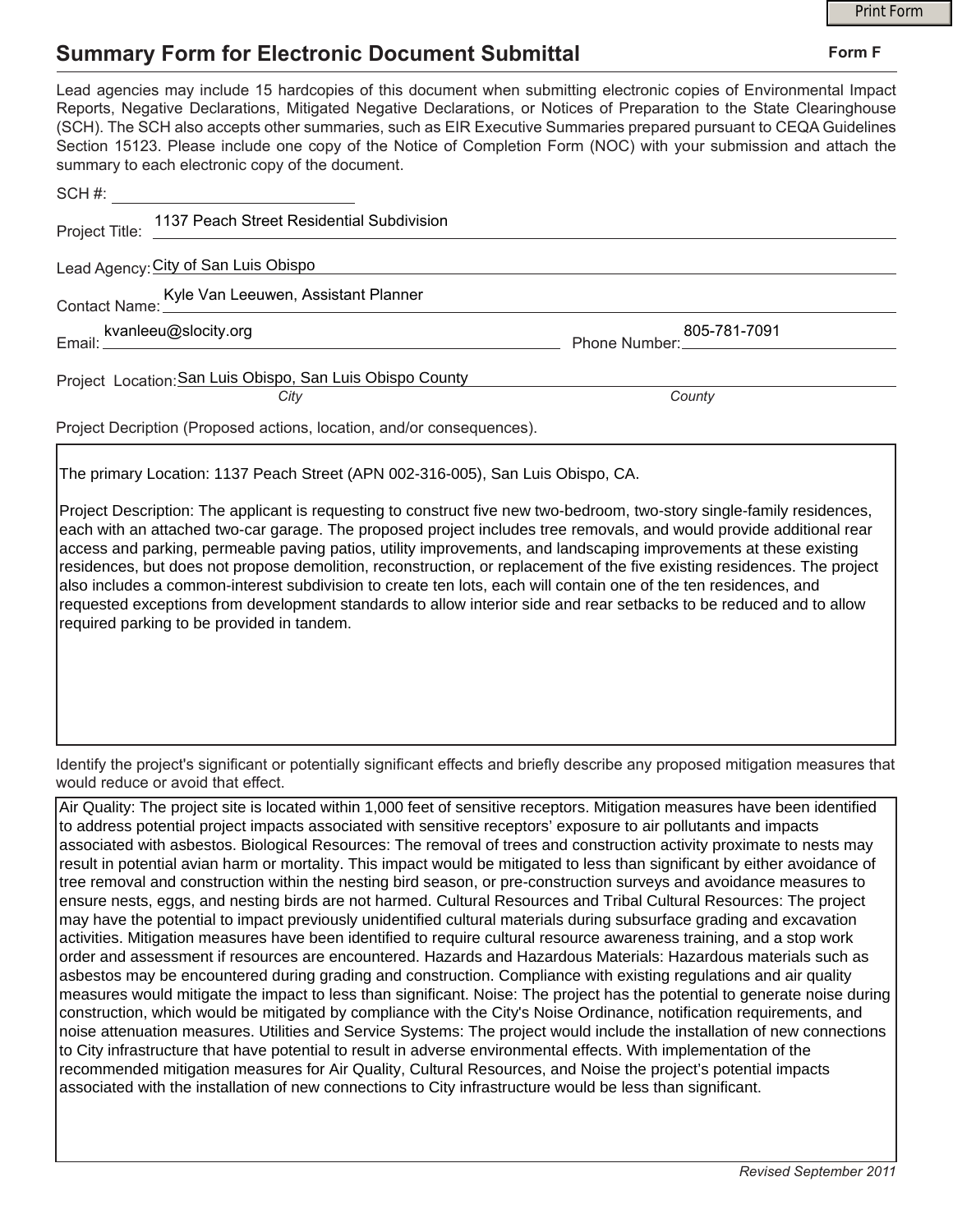## **Summary Form for Electronic Document Submittal**

|                                                                                                                                                                                                                                                                                                                                                                                                                                                                                                                                           |                               | <b>Print Form</b> |
|-------------------------------------------------------------------------------------------------------------------------------------------------------------------------------------------------------------------------------------------------------------------------------------------------------------------------------------------------------------------------------------------------------------------------------------------------------------------------------------------------------------------------------------------|-------------------------------|-------------------|
| <b>Summary Form for Electronic Document Submittal</b>                                                                                                                                                                                                                                                                                                                                                                                                                                                                                     | Form F                        |                   |
| Lead agencies may include 15 hardcopies of this document when submitting electronic copies of Environmental Impact<br>Reports, Negative Declarations, Mitigated Negative Declarations, or Notices of Preparation to the State Clearinghouse<br>(SCH). The SCH also accepts other summaries, such as EIR Executive Summaries prepared pursuant to CEQA Guidelines<br>Section 15123. Please include one copy of the Notice of Completion Form (NOC) with your submission and attach the<br>summary to each electronic copy of the document. |                               |                   |
| SCH #: _________________________________                                                                                                                                                                                                                                                                                                                                                                                                                                                                                                  |                               |                   |
| Project Title: 1137 Peach Street Residential Subdivision                                                                                                                                                                                                                                                                                                                                                                                                                                                                                  |                               |                   |
| Lead Agency: City of San Luis Obispo                                                                                                                                                                                                                                                                                                                                                                                                                                                                                                      |                               |                   |
| Contact Name: Kyle Van Leeuwen, Assistant Planner                                                                                                                                                                                                                                                                                                                                                                                                                                                                                         |                               |                   |
|                                                                                                                                                                                                                                                                                                                                                                                                                                                                                                                                           | 805-781-7091<br>Phone Number: |                   |
| Project Location: San Luis Obispo, San Luis Obispo County<br>City                                                                                                                                                                                                                                                                                                                                                                                                                                                                         | County                        |                   |
| Project Decription (Proposed actions, location, and/or consequences).                                                                                                                                                                                                                                                                                                                                                                                                                                                                     |                               |                   |

The primary Location: 1137 Peach Street (APN 002-316-005), San Luis Obispo, CA.

Project Description: The applicant is requesting to construct five new two-bedroom, two-story single-family residences, each with an attached two-car garage. The proposed project includes tree removals, and would provide additional rear access and parking, permeable paving patios, utility improvements, and landscaping improvements at these existing residences, but does not propose demolition, reconstruction, or replacement of the five existing residences. The project also includes a common-interest subdivision to create ten lots, each will contain one of the ten residences, and requested exceptions from development standards to allow interior side and rear setbacks to be reduced and to allow required parking to be provided in tandem.

Identify the project's significant or potentially significant effects and briefly describe any proposed mitigation measures that would reduce or avoid that effect.

Air Quality: The project site is located within 1,000 feet of sensitive receptors. Mitigation measures have been identified to address potential project impacts associated with sensitive receptors' exposure to air pollutants and impacts associated with asbestos. Biological Resources: The removal of trees and construction activity proximate to nests may result in potential avian harm or mortality. This impact would be mitigated to less than significant by either avoidance of tree removal and construction within the nesting bird season, or pre-construction surveys and avoidance measures to ensure nests, eggs, and nesting birds are not harmed. Cultural Resources and Tribal Cultural Resources: The project may have the potential to impact previously unidentified cultural materials during subsurface grading and excavation activities. Mitigation measures have been identified to require cultural resource awareness training, and a stop work order and assessment if resources are encountered. Hazards and Hazardous Materials: Hazardous materials such as asbestos may be encountered during grading and construction. Compliance with existing regulations and air quality measures would mitigate the impact to less than significant. Noise: The project has the potential to generate noise during construction, which would be mitigated by compliance with the City's Noise Ordinance, notification requirements, and noise attenuation measures. Utilities and Service Systems: The project would include the installation of new connections to City infrastructure that have potential to result in adverse environmental effects. With implementation of the recommended mitigation measures for Air Quality, Cultural Resources, and Noise the project's potential impacts associated with the installation of new connections to City infrastructure would be less than significant.